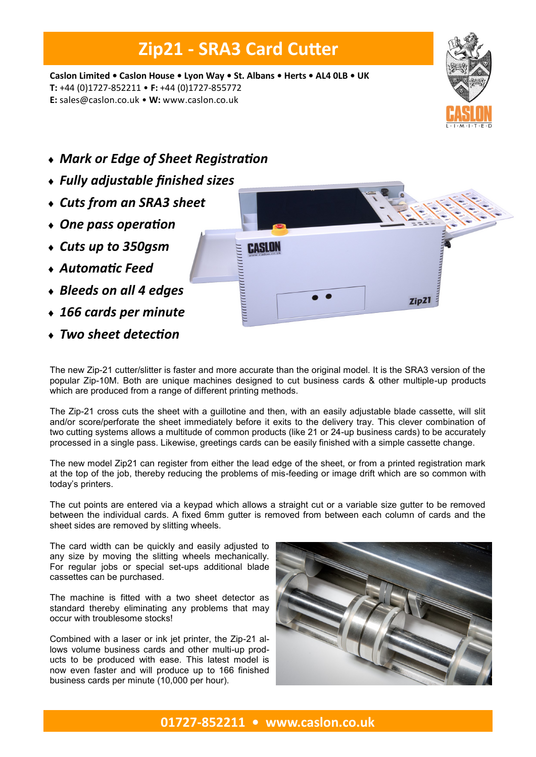## **Zip21 - SRA3 Card Cutter**

**Caslon Limited • Caslon House • Lyon Way • St. Albans • Herts • AL4 0LB • UK T:** +44 (0)1727-852211 • **F:** +44 (0)1727-855772 **E:** sales@caslon.co.uk • **W:** www.caslon.co.uk



- *Mark or Edge of Sheet Registration*
- *Fully adjustable finished sizes*
- *Cuts from an SRA3 sheet*
- *One pass operation*
- *Cuts up to 350gsm*
- *Automatic Feed*
- *Bleeds on all 4 edges*
- *166 cards per minute*
- *Two sheet detection*



The new Zip-21 cutter/slitter is faster and more accurate than the original model. It is the SRA3 version of the popular Zip-10M. Both are unique machines designed to cut business cards & other multiple-up products which are produced from a range of different printing methods.

The Zip-21 cross cuts the sheet with a guillotine and then, with an easily adjustable blade cassette, will slit and/or score/perforate the sheet immediately before it exits to the delivery tray. This clever combination of two cutting systems allows a multitude of common products (like 21 or 24-up business cards) to be accurately processed in a single pass. Likewise, greetings cards can be easily finished with a simple cassette change.

The new model Zip21 can register from either the lead edge of the sheet, or from a printed registration mark at the top of the job, thereby reducing the problems of mis-feeding or image drift which are so common with today's printers.

The cut points are entered via a keypad which allows a straight cut or a variable size gutter to be removed between the individual cards. A fixed 6mm gutter is removed from between each column of cards and the sheet sides are removed by slitting wheels.

The card width can be quickly and easily adjusted to any size by moving the slitting wheels mechanically. For regular jobs or special set-ups additional blade cassettes can be purchased.

The machine is fitted with a two sheet detector as standard thereby eliminating any problems that may occur with troublesome stocks!

Combined with a laser or ink jet printer, the Zip-21 allows volume business cards and other multi-up products to be produced with ease. This latest model is now even faster and will produce up to 166 finished business cards per minute (10,000 per hour).